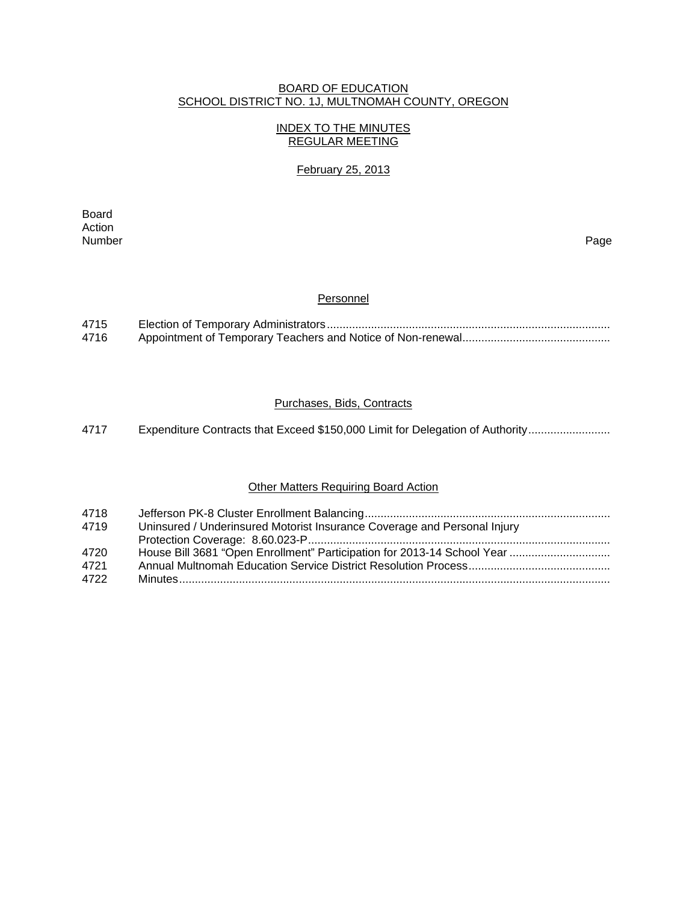#### BOARD OF EDUCATION SCHOOL DISTRICT NO. 1J, MULTNOMAH COUNTY, OREGON

## INDEX TO THE MINUTES REGULAR MEETING

## February 25, 2013

extending the control of the control of the control of the control of the control of the control of the control of the control of the control of the control of the control of the control of the control of the control of th Action<br>Number Number Page

#### **Personnel**

| 4715 |  |
|------|--|
| 4716 |  |

### Purchases, Bids, Contracts

4717 Expenditure Contracts that Exceed \$150,000 Limit for Delegation of Authority .........................

## **Other Matters Requiring Board Action**

| 4718 |                                                                          |
|------|--------------------------------------------------------------------------|
| 4719 | Uninsured / Underinsured Motorist Insurance Coverage and Personal Injury |
|      |                                                                          |
| 4720 |                                                                          |
| 4721 |                                                                          |
| 4722 |                                                                          |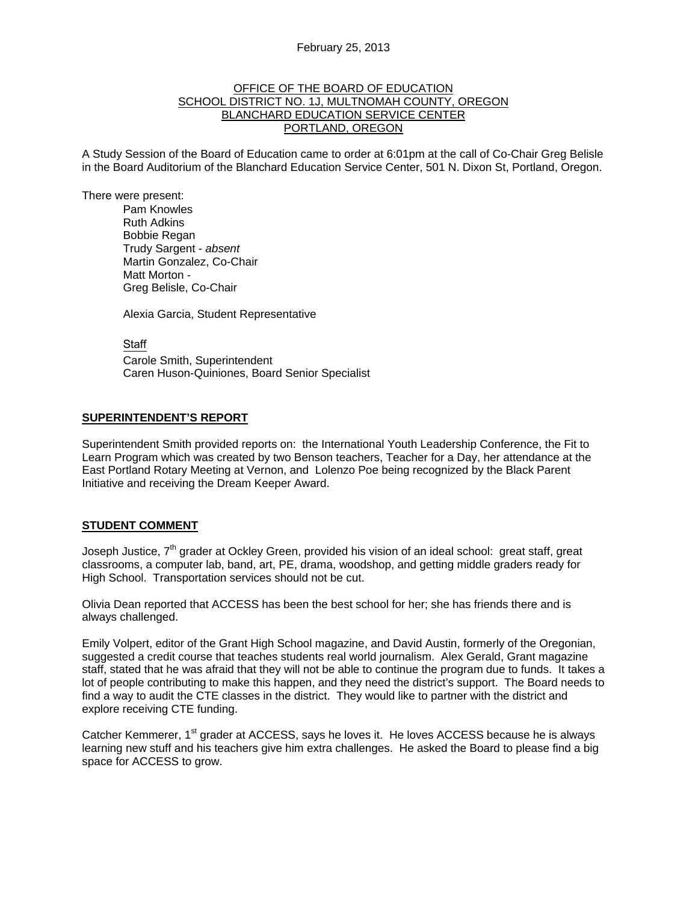#### OFFICE OF THE BOARD OF EDUCATION SCHOOL DISTRICT NO. 1J, MULTNOMAH COUNTY, OREGON BLANCHARD EDUCATION SERVICE CENTER PORTLAND, OREGON

A Study Session of the Board of Education came to order at 6:01pm at the call of Co-Chair Greg Belisle in the Board Auditorium of the Blanchard Education Service Center, 501 N. Dixon St, Portland, Oregon.

There were present: Pam Knowles

Ruth Adkins Bobbie Regan Trudy Sargent - *absent* Martin Gonzalez, Co-Chair Matt Morton - Greg Belisle, Co-Chair

Alexia Garcia, Student Representative

**Staff** 

 Carole Smith, Superintendent Caren Huson-Quiniones, Board Senior Specialist

#### **SUPERINTENDENT'S REPORT**

Superintendent Smith provided reports on: the International Youth Leadership Conference, the Fit to Learn Program which was created by two Benson teachers, Teacher for a Day, her attendance at the East Portland Rotary Meeting at Vernon, and Lolenzo Poe being recognized by the Black Parent Initiative and receiving the Dream Keeper Award.

#### **STUDENT COMMENT**

Joseph Justice,  $7<sup>th</sup>$  grader at Ockley Green, provided his vision of an ideal school: great staff, great classrooms, a computer lab, band, art, PE, drama, woodshop, and getting middle graders ready for High School. Transportation services should not be cut.

Olivia Dean reported that ACCESS has been the best school for her; she has friends there and is always challenged.

Emily Volpert, editor of the Grant High School magazine, and David Austin, formerly of the Oregonian, suggested a credit course that teaches students real world journalism. Alex Gerald, Grant magazine staff, stated that he was afraid that they will not be able to continue the program due to funds. It takes a lot of people contributing to make this happen, and they need the district's support. The Board needs to find a way to audit the CTE classes in the district. They would like to partner with the district and explore receiving CTE funding.

Catcher Kemmerer, 1<sup>st</sup> grader at ACCESS, says he loves it. He loves ACCESS because he is always learning new stuff and his teachers give him extra challenges. He asked the Board to please find a big space for ACCESS to grow.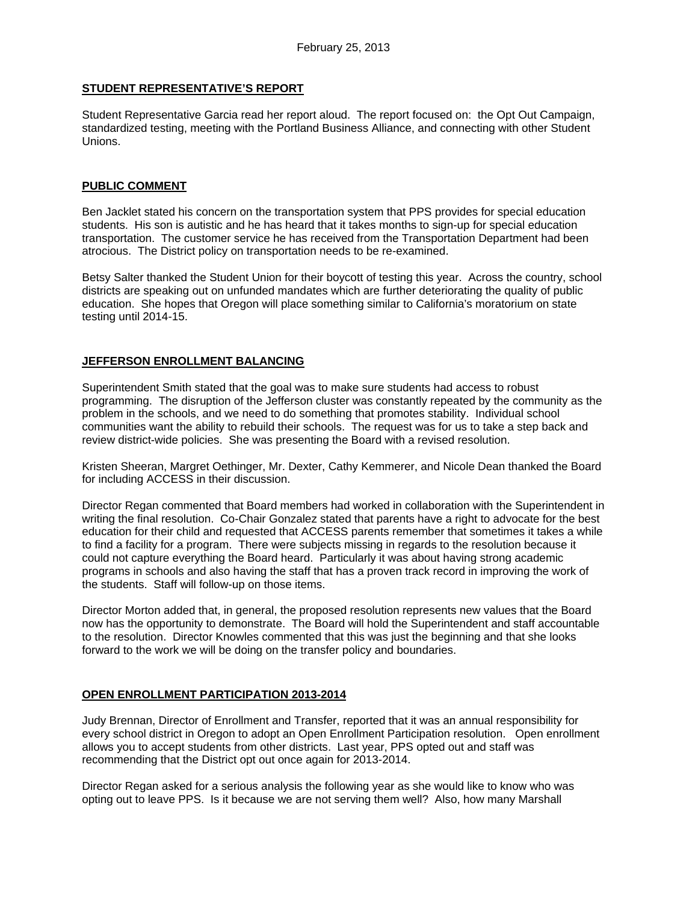### **STUDENT REPRESENTATIVE'S REPORT**

Student Representative Garcia read her report aloud. The report focused on: the Opt Out Campaign, standardized testing, meeting with the Portland Business Alliance, and connecting with other Student Unions.

#### **PUBLIC COMMENT**

Ben Jacklet stated his concern on the transportation system that PPS provides for special education students. His son is autistic and he has heard that it takes months to sign-up for special education transportation. The customer service he has received from the Transportation Department had been atrocious. The District policy on transportation needs to be re-examined.

Betsy Salter thanked the Student Union for their boycott of testing this year. Across the country, school districts are speaking out on unfunded mandates which are further deteriorating the quality of public education. She hopes that Oregon will place something similar to California's moratorium on state testing until 2014-15.

#### **JEFFERSON ENROLLMENT BALANCING**

Superintendent Smith stated that the goal was to make sure students had access to robust programming. The disruption of the Jefferson cluster was constantly repeated by the community as the problem in the schools, and we need to do something that promotes stability. Individual school communities want the ability to rebuild their schools. The request was for us to take a step back and review district-wide policies. She was presenting the Board with a revised resolution.

Kristen Sheeran, Margret Oethinger, Mr. Dexter, Cathy Kemmerer, and Nicole Dean thanked the Board for including ACCESS in their discussion.

Director Regan commented that Board members had worked in collaboration with the Superintendent in writing the final resolution. Co-Chair Gonzalez stated that parents have a right to advocate for the best education for their child and requested that ACCESS parents remember that sometimes it takes a while to find a facility for a program. There were subjects missing in regards to the resolution because it could not capture everything the Board heard. Particularly it was about having strong academic programs in schools and also having the staff that has a proven track record in improving the work of the students. Staff will follow-up on those items.

Director Morton added that, in general, the proposed resolution represents new values that the Board now has the opportunity to demonstrate. The Board will hold the Superintendent and staff accountable to the resolution. Director Knowles commented that this was just the beginning and that she looks forward to the work we will be doing on the transfer policy and boundaries.

#### **OPEN ENROLLMENT PARTICIPATION 2013-2014**

Judy Brennan, Director of Enrollment and Transfer, reported that it was an annual responsibility for every school district in Oregon to adopt an Open Enrollment Participation resolution. Open enrollment allows you to accept students from other districts. Last year, PPS opted out and staff was recommending that the District opt out once again for 2013-2014.

Director Regan asked for a serious analysis the following year as she would like to know who was opting out to leave PPS. Is it because we are not serving them well? Also, how many Marshall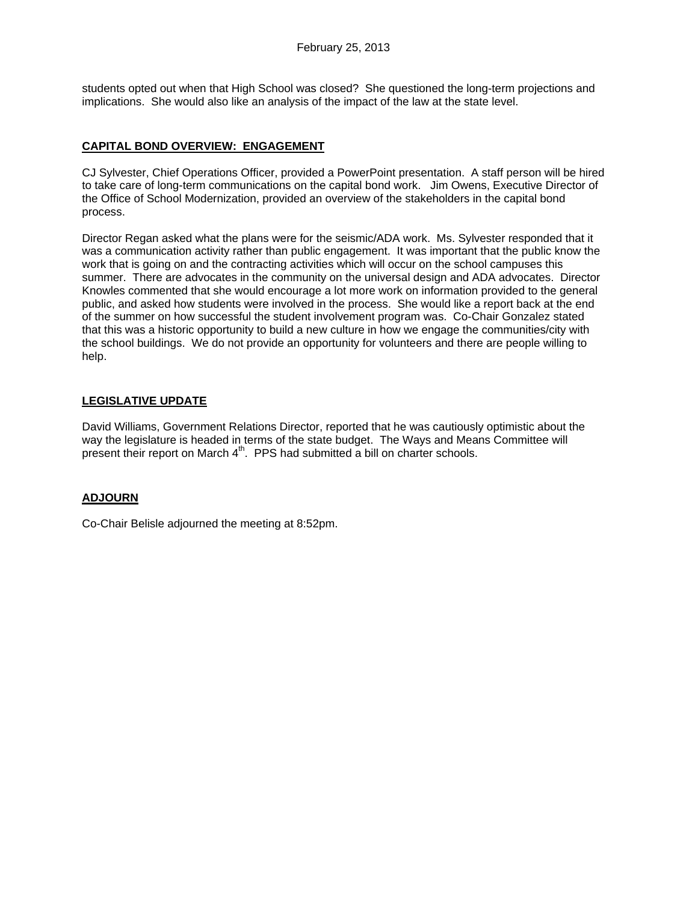students opted out when that High School was closed? She questioned the long-term projections and implications. She would also like an analysis of the impact of the law at the state level.

# **CAPITAL BOND OVERVIEW: ENGAGEMENT**

CJ Sylvester, Chief Operations Officer, provided a PowerPoint presentation. A staff person will be hired to take care of long-term communications on the capital bond work. Jim Owens, Executive Director of the Office of School Modernization, provided an overview of the stakeholders in the capital bond process.

Director Regan asked what the plans were for the seismic/ADA work. Ms. Sylvester responded that it was a communication activity rather than public engagement. It was important that the public know the work that is going on and the contracting activities which will occur on the school campuses this summer. There are advocates in the community on the universal design and ADA advocates. Director Knowles commented that she would encourage a lot more work on information provided to the general public, and asked how students were involved in the process. She would like a report back at the end of the summer on how successful the student involvement program was. Co-Chair Gonzalez stated that this was a historic opportunity to build a new culture in how we engage the communities/city with the school buildings. We do not provide an opportunity for volunteers and there are people willing to help.

# **LEGISLATIVE UPDATE**

David Williams, Government Relations Director, reported that he was cautiously optimistic about the way the legislature is headed in terms of the state budget. The Ways and Means Committee will present their report on March  $4<sup>th</sup>$ . PPS had submitted a bill on charter schools.

## **ADJOURN**

Co-Chair Belisle adjourned the meeting at 8:52pm.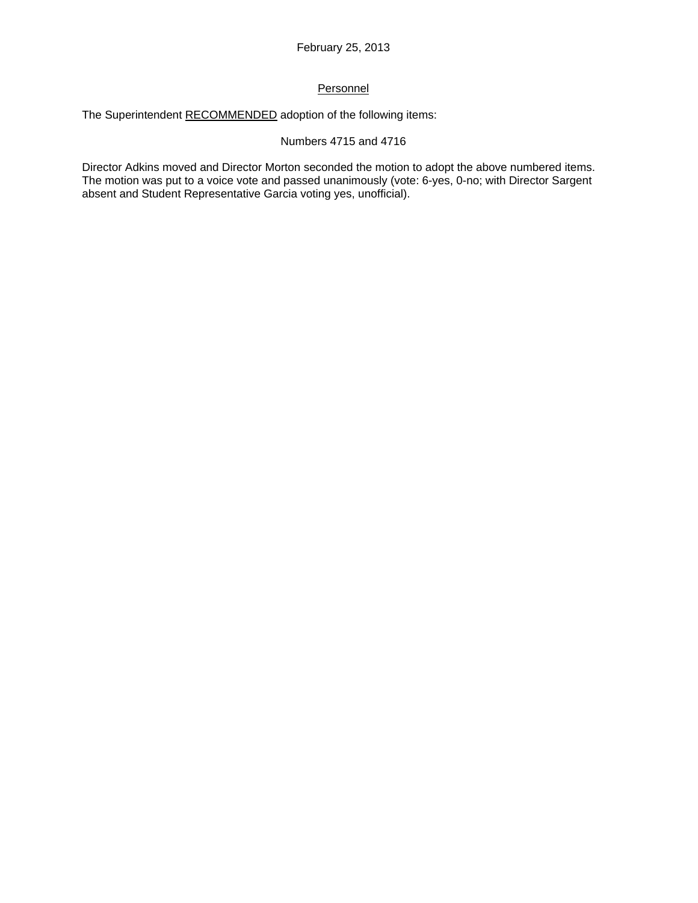# **Personnel**

The Superintendent RECOMMENDED adoption of the following items:

### Numbers 4715 and 4716

Director Adkins moved and Director Morton seconded the motion to adopt the above numbered items. The motion was put to a voice vote and passed unanimously (vote: 6-yes, 0-no; with Director Sargent absent and Student Representative Garcia voting yes, unofficial).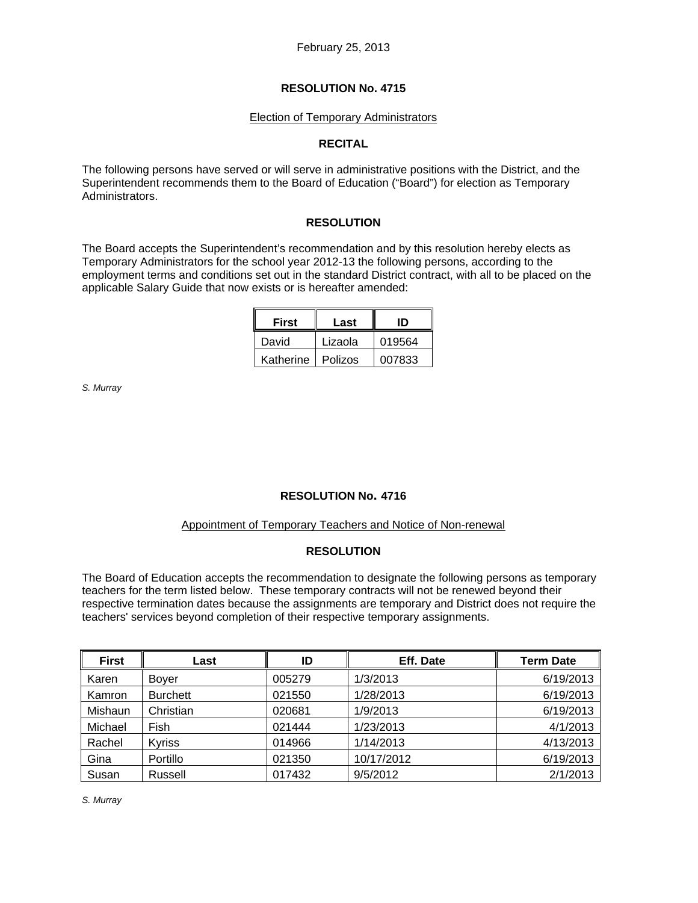### Election of Temporary Administrators

## **RECITAL**

The following persons have served or will serve in administrative positions with the District, and the Superintendent recommends them to the Board of Education ("Board") for election as Temporary Administrators.

## **RESOLUTION**

The Board accepts the Superintendent's recommendation and by this resolution hereby elects as Temporary Administrators for the school year 2012-13 the following persons, according to the employment terms and conditions set out in the standard District contract, with all to be placed on the applicable Salary Guide that now exists or is hereafter amended:

| <b>First</b> | Last           | חו     |  |
|--------------|----------------|--------|--|
| David        | Lizaola        | 019564 |  |
| Katherine    | <b>Polizos</b> | 007833 |  |

*S. Murray* 

## **RESOLUTION No. 4716**

## Appointment of Temporary Teachers and Notice of Non-renewal

## **RESOLUTION**

The Board of Education accepts the recommendation to designate the following persons as temporary teachers for the term listed below. These temporary contracts will not be renewed beyond their respective termination dates because the assignments are temporary and District does not require the teachers' services beyond completion of their respective temporary assignments.

| <b>First</b> | Last            | ID     | Eff. Date  | <b>Term Date</b> |
|--------------|-----------------|--------|------------|------------------|
| Karen        | Bover           | 005279 | 1/3/2013   | 6/19/2013        |
| Kamron       | <b>Burchett</b> | 021550 | 1/28/2013  | 6/19/2013        |
| Mishaun      | Christian       | 020681 | 1/9/2013   | 6/19/2013        |
| Michael      | Fish            | 021444 | 1/23/2013  | 4/1/2013         |
| Rachel       | <b>Kyriss</b>   | 014966 | 1/14/2013  | 4/13/2013        |
| Gina         | Portillo        | 021350 | 10/17/2012 | 6/19/2013        |
| Susan        | Russell         | 017432 | 9/5/2012   | 2/1/2013         |

*S. Murray*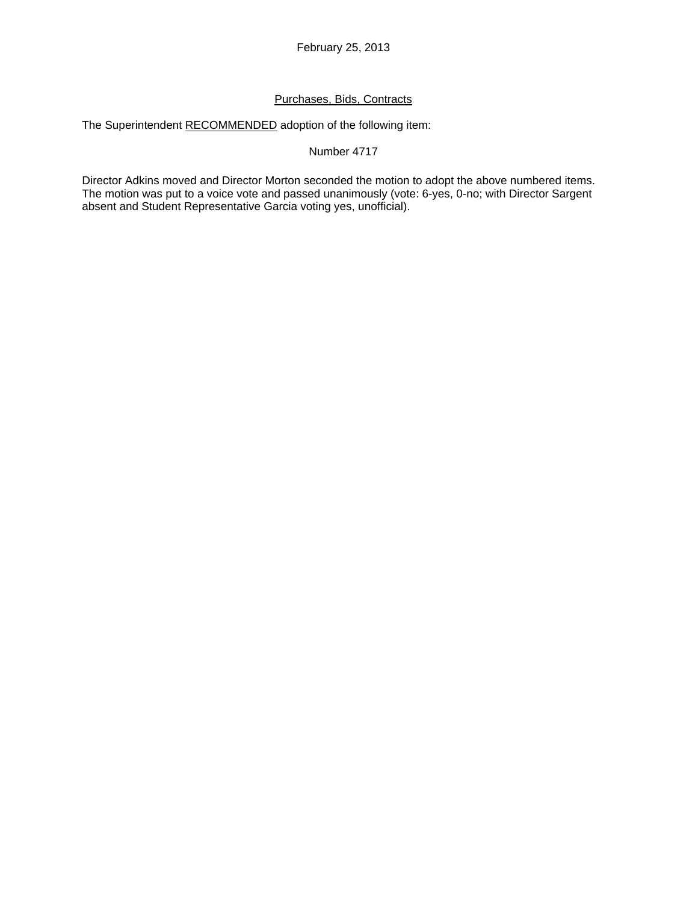# Purchases, Bids, Contracts

The Superintendent RECOMMENDED adoption of the following item:

#### Number 4717

Director Adkins moved and Director Morton seconded the motion to adopt the above numbered items. The motion was put to a voice vote and passed unanimously (vote: 6-yes, 0-no; with Director Sargent absent and Student Representative Garcia voting yes, unofficial).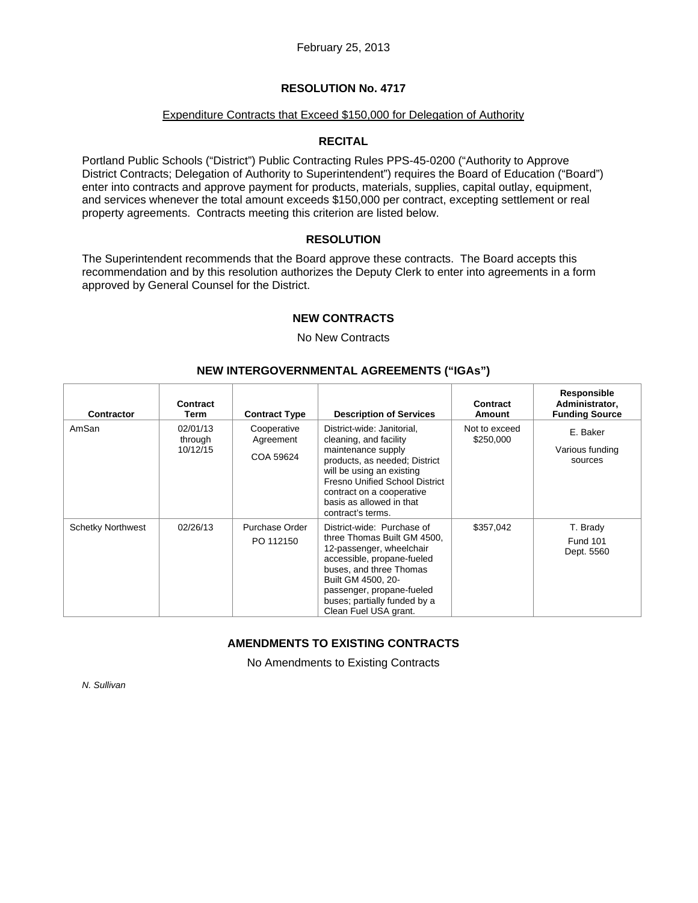#### Expenditure Contracts that Exceed \$150,000 for Delegation of Authority

## **RECITAL**

Portland Public Schools ("District") Public Contracting Rules PPS-45-0200 ("Authority to Approve District Contracts; Delegation of Authority to Superintendent") requires the Board of Education ("Board") enter into contracts and approve payment for products, materials, supplies, capital outlay, equipment, and services whenever the total amount exceeds \$150,000 per contract, excepting settlement or real property agreements. Contracts meeting this criterion are listed below.

#### **RESOLUTION**

The Superintendent recommends that the Board approve these contracts. The Board accepts this recommendation and by this resolution authorizes the Deputy Clerk to enter into agreements in a form approved by General Counsel for the District.

## **NEW CONTRACTS**

## No New Contracts

## **NEW INTERGOVERNMENTAL AGREEMENTS ("IGAs")**

| <b>Contractor</b>        | Contract<br>Term                | <b>Contract Type</b>                  | <b>Description of Services</b>                                                                                                                                                                                                                             | Contract<br>Amount         | Responsible<br>Administrator,<br><b>Funding Source</b> |
|--------------------------|---------------------------------|---------------------------------------|------------------------------------------------------------------------------------------------------------------------------------------------------------------------------------------------------------------------------------------------------------|----------------------------|--------------------------------------------------------|
| AmSan                    | 02/01/13<br>through<br>10/12/15 | Cooperative<br>Agreement<br>COA 59624 | District-wide: Janitorial,<br>cleaning, and facility<br>maintenance supply<br>products, as needed; District<br>will be using an existing<br>Fresno Unified School District<br>contract on a cooperative<br>basis as allowed in that<br>contract's terms.   | Not to exceed<br>\$250,000 | E. Baker<br>Various funding<br>sources                 |
| <b>Schetky Northwest</b> | 02/26/13                        | Purchase Order<br>PO 112150           | District-wide: Purchase of<br>three Thomas Built GM 4500,<br>12-passenger, wheelchair<br>accessible, propane-fueled<br>buses, and three Thomas<br>Built GM 4500, 20-<br>passenger, propane-fueled<br>buses; partially funded by a<br>Clean Fuel USA grant. | \$357,042                  | T. Brady<br><b>Fund 101</b><br>Dept. 5560              |

# **AMENDMENTS TO EXISTING CONTRACTS**

No Amendments to Existing Contracts

*N. Sullivan*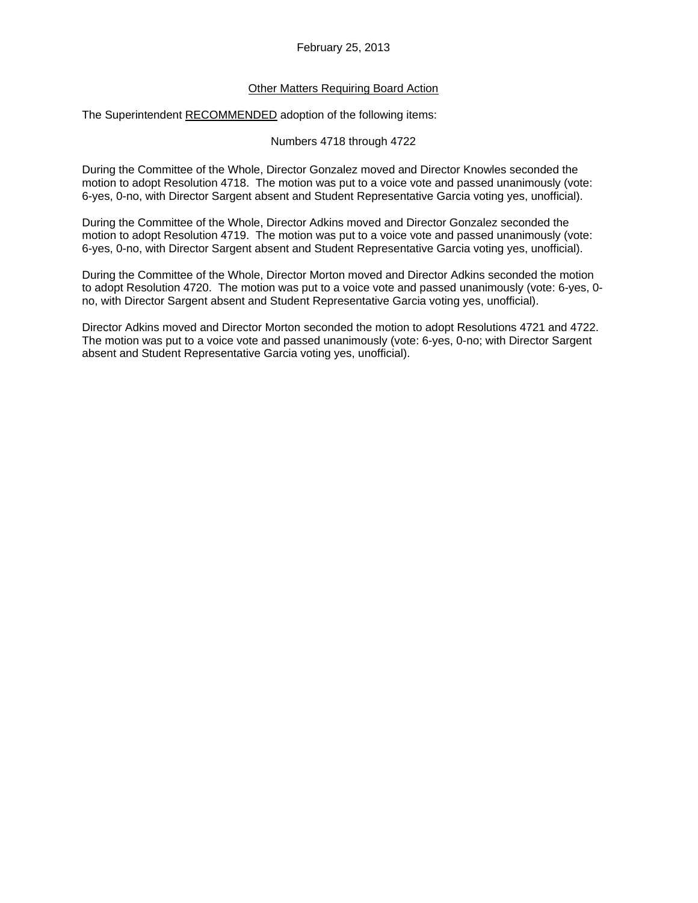## Other Matters Requiring Board Action

The Superintendent RECOMMENDED adoption of the following items:

#### Numbers 4718 through 4722

During the Committee of the Whole, Director Gonzalez moved and Director Knowles seconded the motion to adopt Resolution 4718. The motion was put to a voice vote and passed unanimously (vote: 6-yes, 0-no, with Director Sargent absent and Student Representative Garcia voting yes, unofficial).

During the Committee of the Whole, Director Adkins moved and Director Gonzalez seconded the motion to adopt Resolution 4719. The motion was put to a voice vote and passed unanimously (vote: 6-yes, 0-no, with Director Sargent absent and Student Representative Garcia voting yes, unofficial).

During the Committee of the Whole, Director Morton moved and Director Adkins seconded the motion to adopt Resolution 4720. The motion was put to a voice vote and passed unanimously (vote: 6-yes, 0 no, with Director Sargent absent and Student Representative Garcia voting yes, unofficial).

Director Adkins moved and Director Morton seconded the motion to adopt Resolutions 4721 and 4722. The motion was put to a voice vote and passed unanimously (vote: 6-yes, 0-no; with Director Sargent absent and Student Representative Garcia voting yes, unofficial).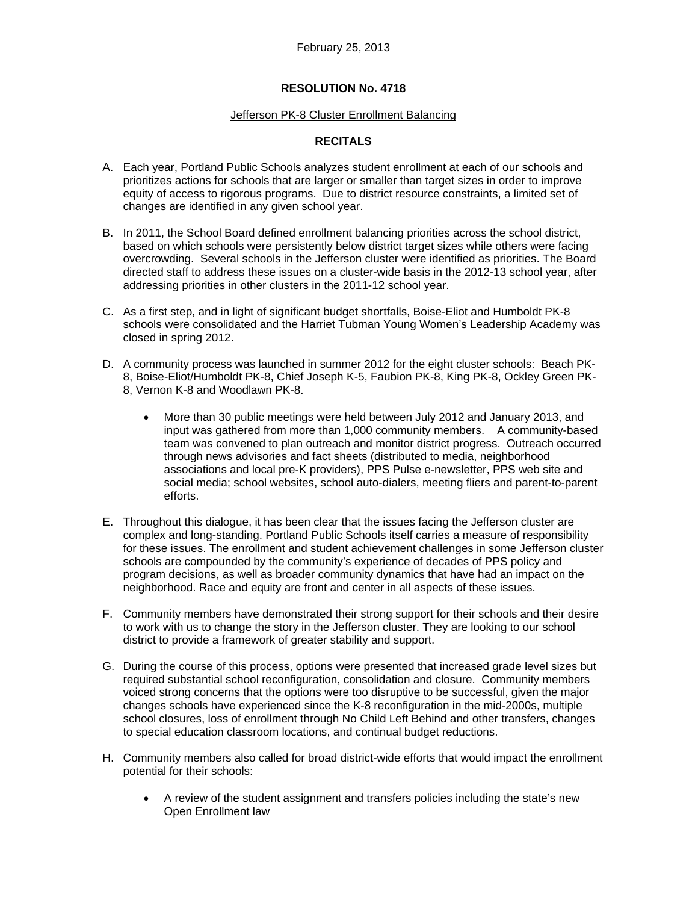#### Jefferson PK-8 Cluster Enrollment Balancing

# **RECITALS**

- A. Each year, Portland Public Schools analyzes student enrollment at each of our schools and prioritizes actions for schools that are larger or smaller than target sizes in order to improve equity of access to rigorous programs. Due to district resource constraints, a limited set of changes are identified in any given school year.
- B. In 2011, the School Board defined enrollment balancing priorities across the school district, based on which schools were persistently below district target sizes while others were facing overcrowding. Several schools in the Jefferson cluster were identified as priorities. The Board directed staff to address these issues on a cluster-wide basis in the 2012-13 school year, after addressing priorities in other clusters in the 2011-12 school year.
- C. As a first step, and in light of significant budget shortfalls, Boise-Eliot and Humboldt PK-8 schools were consolidated and the Harriet Tubman Young Women's Leadership Academy was closed in spring 2012.
- D. A community process was launched in summer 2012 for the eight cluster schools: Beach PK-8, Boise-Eliot/Humboldt PK-8, Chief Joseph K-5, Faubion PK-8, King PK-8, Ockley Green PK-8, Vernon K-8 and Woodlawn PK-8.
	- More than 30 public meetings were held between July 2012 and January 2013, and input was gathered from more than 1,000 community members. A community-based team was convened to plan outreach and monitor district progress. Outreach occurred through news advisories and fact sheets (distributed to media, neighborhood associations and local pre-K providers), PPS Pulse e-newsletter, PPS web site and social media; school websites, school auto-dialers, meeting fliers and parent-to-parent efforts.
- E. Throughout this dialogue, it has been clear that the issues facing the Jefferson cluster are complex and long-standing. Portland Public Schools itself carries a measure of responsibility for these issues. The enrollment and student achievement challenges in some Jefferson cluster schools are compounded by the community's experience of decades of PPS policy and program decisions, as well as broader community dynamics that have had an impact on the neighborhood. Race and equity are front and center in all aspects of these issues.
- F. Community members have demonstrated their strong support for their schools and their desire to work with us to change the story in the Jefferson cluster. They are looking to our school district to provide a framework of greater stability and support.
- G. During the course of this process, options were presented that increased grade level sizes but required substantial school reconfiguration, consolidation and closure. Community members voiced strong concerns that the options were too disruptive to be successful, given the major changes schools have experienced since the K-8 reconfiguration in the mid-2000s, multiple school closures, loss of enrollment through No Child Left Behind and other transfers, changes to special education classroom locations, and continual budget reductions.
- H. Community members also called for broad district-wide efforts that would impact the enrollment potential for their schools:
	- A review of the student assignment and transfers policies including the state's new Open Enrollment law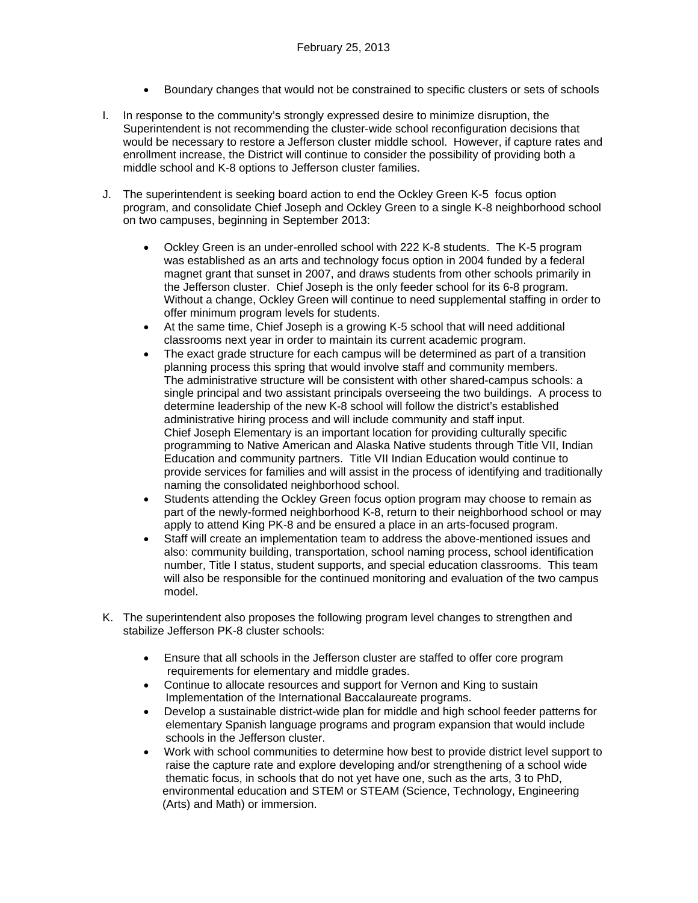- Boundary changes that would not be constrained to specific clusters or sets of schools
- I. In response to the community's strongly expressed desire to minimize disruption, the Superintendent is not recommending the cluster-wide school reconfiguration decisions that would be necessary to restore a Jefferson cluster middle school. However, if capture rates and enrollment increase, the District will continue to consider the possibility of providing both a middle school and K-8 options to Jefferson cluster families.
- J. The superintendent is seeking board action to end the Ockley Green K-5 focus option program, and consolidate Chief Joseph and Ockley Green to a single K-8 neighborhood school on two campuses, beginning in September 2013:
	- Ockley Green is an under-enrolled school with 222 K-8 students. The K-5 program was established as an arts and technology focus option in 2004 funded by a federal magnet grant that sunset in 2007, and draws students from other schools primarily in the Jefferson cluster. Chief Joseph is the only feeder school for its 6-8 program. Without a change, Ockley Green will continue to need supplemental staffing in order to offer minimum program levels for students.
	- At the same time, Chief Joseph is a growing K-5 school that will need additional classrooms next year in order to maintain its current academic program.
	- The exact grade structure for each campus will be determined as part of a transition planning process this spring that would involve staff and community members. The administrative structure will be consistent with other shared-campus schools: a single principal and two assistant principals overseeing the two buildings. A process to determine leadership of the new K-8 school will follow the district's established administrative hiring process and will include community and staff input. Chief Joseph Elementary is an important location for providing culturally specific programming to Native American and Alaska Native students through Title VII, Indian Education and community partners. Title VII Indian Education would continue to provide services for families and will assist in the process of identifying and traditionally naming the consolidated neighborhood school.
	- Students attending the Ockley Green focus option program may choose to remain as part of the newly-formed neighborhood K-8, return to their neighborhood school or may apply to attend King PK-8 and be ensured a place in an arts-focused program.
	- Staff will create an implementation team to address the above-mentioned issues and also: community building, transportation, school naming process, school identification number, Title I status, student supports, and special education classrooms. This team will also be responsible for the continued monitoring and evaluation of the two campus model.
- K. The superintendent also proposes the following program level changes to strengthen and stabilize Jefferson PK-8 cluster schools:
	- Ensure that all schools in the Jefferson cluster are staffed to offer core program requirements for elementary and middle grades.
	- Continue to allocate resources and support for Vernon and King to sustain Implementation of the International Baccalaureate programs.
	- Develop a sustainable district-wide plan for middle and high school feeder patterns for elementary Spanish language programs and program expansion that would include schools in the Jefferson cluster.
	- Work with school communities to determine how best to provide district level support to raise the capture rate and explore developing and/or strengthening of a school wide thematic focus, in schools that do not yet have one, such as the arts, 3 to PhD, environmental education and STEM or STEAM (Science, Technology, Engineering (Arts) and Math) or immersion.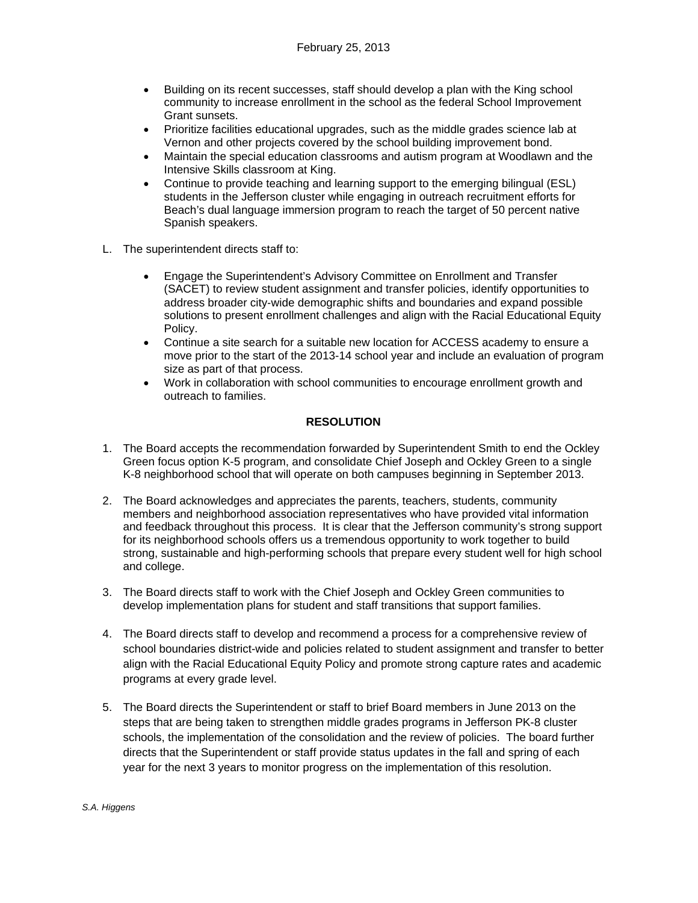- Building on its recent successes, staff should develop a plan with the King school community to increase enrollment in the school as the federal School Improvement Grant sunsets.
- Prioritize facilities educational upgrades, such as the middle grades science lab at Vernon and other projects covered by the school building improvement bond.
- Maintain the special education classrooms and autism program at Woodlawn and the Intensive Skills classroom at King.
- Continue to provide teaching and learning support to the emerging bilingual (ESL) students in the Jefferson cluster while engaging in outreach recruitment efforts for Beach's dual language immersion program to reach the target of 50 percent native Spanish speakers.
- L. The superintendent directs staff to:
	- Engage the Superintendent's Advisory Committee on Enrollment and Transfer (SACET) to review student assignment and transfer policies, identify opportunities to address broader city‐wide demographic shifts and boundaries and expand possible solutions to present enrollment challenges and align with the Racial Educational Equity Policy.
	- Continue a site search for a suitable new location for ACCESS academy to ensure a move prior to the start of the 2013-14 school year and include an evaluation of program size as part of that process.
	- Work in collaboration with school communities to encourage enrollment growth and outreach to families.

#### **RESOLUTION**

- 1. The Board accepts the recommendation forwarded by Superintendent Smith to end the Ockley Green focus option K-5 program, and consolidate Chief Joseph and Ockley Green to a single K-8 neighborhood school that will operate on both campuses beginning in September 2013.
- 2. The Board acknowledges and appreciates the parents, teachers, students, community members and neighborhood association representatives who have provided vital information and feedback throughout this process. It is clear that the Jefferson community's strong support for its neighborhood schools offers us a tremendous opportunity to work together to build strong, sustainable and high-performing schools that prepare every student well for high school and college.
- 3. The Board directs staff to work with the Chief Joseph and Ockley Green communities to develop implementation plans for student and staff transitions that support families.
- 4. The Board directs staff to develop and recommend a process for a comprehensive review of school boundaries district-wide and policies related to student assignment and transfer to better align with the Racial Educational Equity Policy and promote strong capture rates and academic programs at every grade level.
- 5. The Board directs the Superintendent or staff to brief Board members in June 2013 on the steps that are being taken to strengthen middle grades programs in Jefferson PK-8 cluster schools, the implementation of the consolidation and the review of policies. The board further directs that the Superintendent or staff provide status updates in the fall and spring of each year for the next 3 years to monitor progress on the implementation of this resolution.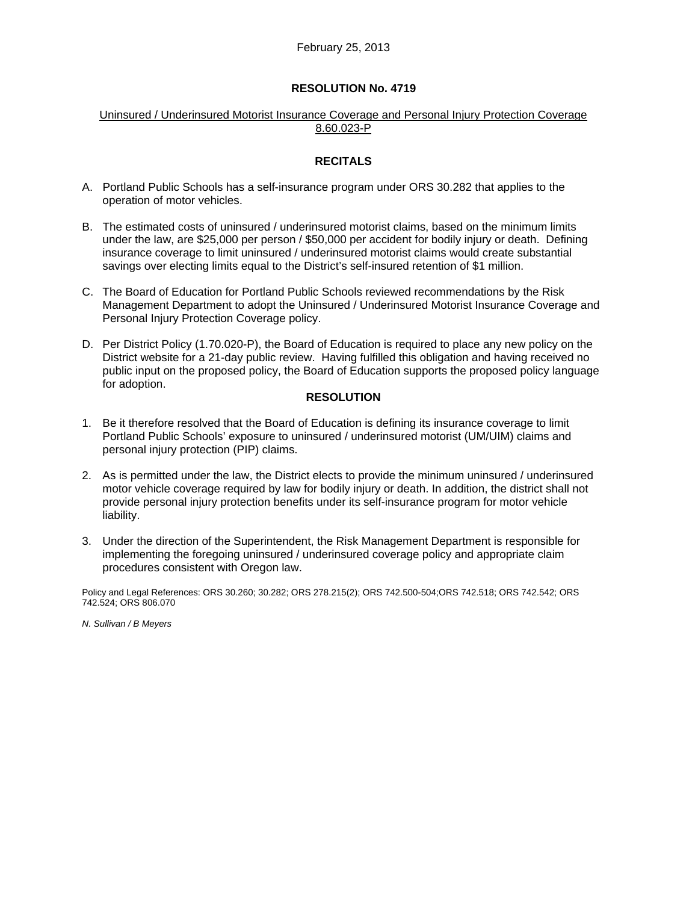#### Uninsured / Underinsured Motorist Insurance Coverage and Personal Injury Protection Coverage 8.60.023-P

## **RECITALS**

- A. Portland Public Schools has a self-insurance program under ORS 30.282 that applies to the operation of motor vehicles.
- B. The estimated costs of uninsured / underinsured motorist claims, based on the minimum limits under the law, are \$25,000 per person / \$50,000 per accident for bodily injury or death. Defining insurance coverage to limit uninsured / underinsured motorist claims would create substantial savings over electing limits equal to the District's self-insured retention of \$1 million.
- C. The Board of Education for Portland Public Schools reviewed recommendations by the Risk Management Department to adopt the Uninsured / Underinsured Motorist Insurance Coverage and Personal Injury Protection Coverage policy.
- D. Per District Policy (1.70.020-P), the Board of Education is required to place any new policy on the District website for a 21-day public review. Having fulfilled this obligation and having received no public input on the proposed policy, the Board of Education supports the proposed policy language for adoption.

#### **RESOLUTION**

- 1. Be it therefore resolved that the Board of Education is defining its insurance coverage to limit Portland Public Schools' exposure to uninsured / underinsured motorist (UM/UIM) claims and personal injury protection (PIP) claims.
- 2. As is permitted under the law, the District elects to provide the minimum uninsured / underinsured motor vehicle coverage required by law for bodily injury or death. In addition, the district shall not provide personal injury protection benefits under its self-insurance program for motor vehicle liability.
- 3. Under the direction of the Superintendent, the Risk Management Department is responsible for implementing the foregoing uninsured / underinsured coverage policy and appropriate claim procedures consistent with Oregon law.

Policy and Legal References: ORS 30.260; 30.282; ORS 278.215(2); ORS 742.500-504;ORS 742.518; ORS 742.542; ORS 742.524; ORS 806.070

*N. Sullivan / B Meyers*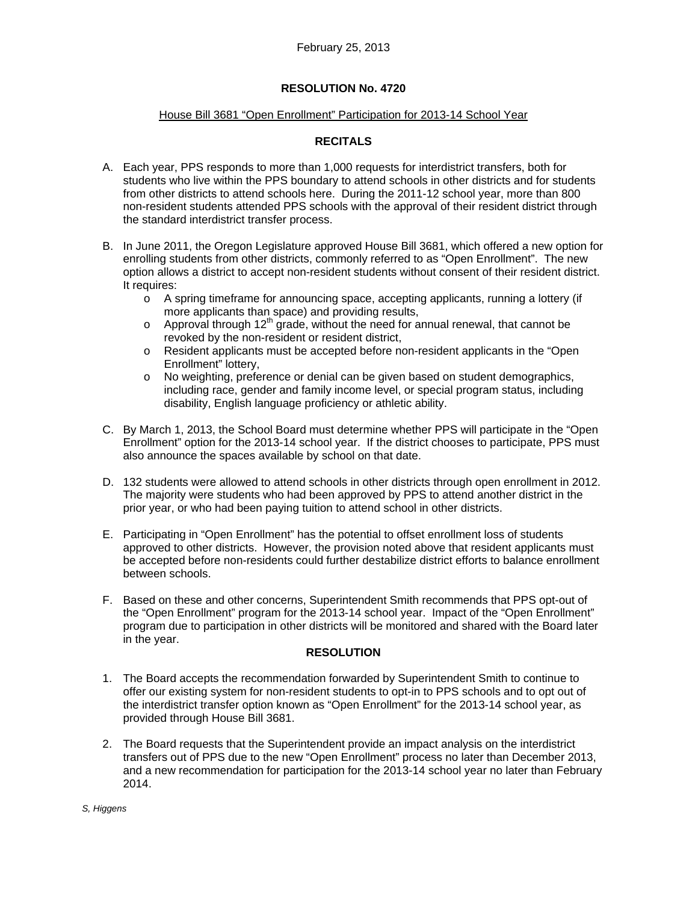#### House Bill 3681 "Open Enrollment" Participation for 2013-14 School Year

# **RECITALS**

- A. Each year, PPS responds to more than 1,000 requests for interdistrict transfers, both for students who live within the PPS boundary to attend schools in other districts and for students from other districts to attend schools here. During the 2011-12 school year, more than 800 non-resident students attended PPS schools with the approval of their resident district through the standard interdistrict transfer process.
- B. In June 2011, the Oregon Legislature approved House Bill 3681, which offered a new option for enrolling students from other districts, commonly referred to as "Open Enrollment". The new option allows a district to accept non-resident students without consent of their resident district. It requires:
	- o A spring timeframe for announcing space, accepting applicants, running a lottery (if more applicants than space) and providing results,
	- o Approval through  $12<sup>th</sup>$  grade, without the need for annual renewal, that cannot be revoked by the non-resident or resident district,
	- o Resident applicants must be accepted before non-resident applicants in the "Open Enrollment" lottery,
	- o No weighting, preference or denial can be given based on student demographics, including race, gender and family income level, or special program status, including disability, English language proficiency or athletic ability.
- C. By March 1, 2013, the School Board must determine whether PPS will participate in the "Open Enrollment" option for the 2013-14 school year. If the district chooses to participate, PPS must also announce the spaces available by school on that date.
- D. 132 students were allowed to attend schools in other districts through open enrollment in 2012. The majority were students who had been approved by PPS to attend another district in the prior year, or who had been paying tuition to attend school in other districts.
- E. Participating in "Open Enrollment" has the potential to offset enrollment loss of students approved to other districts. However, the provision noted above that resident applicants must be accepted before non-residents could further destabilize district efforts to balance enrollment between schools.
- F. Based on these and other concerns, Superintendent Smith recommends that PPS opt-out of the "Open Enrollment" program for the 2013-14 school year. Impact of the "Open Enrollment" program due to participation in other districts will be monitored and shared with the Board later in the year.

#### **RESOLUTION**

- 1. The Board accepts the recommendation forwarded by Superintendent Smith to continue to offer our existing system for non-resident students to opt-in to PPS schools and to opt out of the interdistrict transfer option known as "Open Enrollment" for the 2013-14 school year, as provided through House Bill 3681.
- 2. The Board requests that the Superintendent provide an impact analysis on the interdistrict transfers out of PPS due to the new "Open Enrollment" process no later than December 2013, and a new recommendation for participation for the 2013-14 school year no later than February 2014.